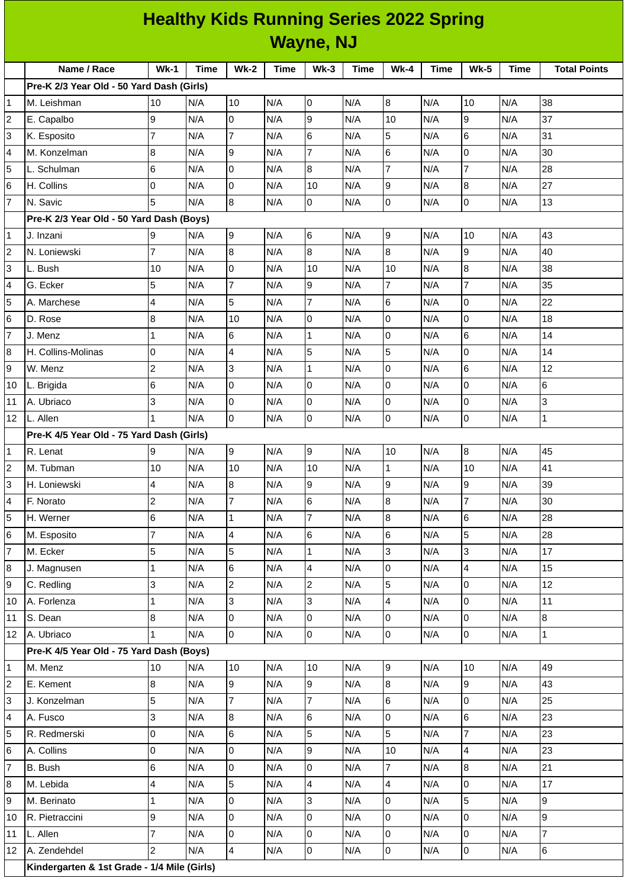| <b>Healthy Kids Running Series 2022 Spring</b><br>Wayne, NJ |        |      |             |             |        |             |        |      |             |             |                     |
|-------------------------------------------------------------|--------|------|-------------|-------------|--------|-------------|--------|------|-------------|-------------|---------------------|
| <b>Name / Race</b>                                          | $Wk-1$ | Time | <b>Wk-2</b> | <b>Time</b> | $Wk-3$ | <b>Time</b> | $Wk-4$ | Time | <b>Wk-5</b> | <b>Time</b> | <b>Total Points</b> |
| //3 Year Old - 50 Yard Dash (Girls)                         |        |      |             |             |        |             |        |      |             |             |                     |
| hman                                                        | 10     | N/A  | 10          | N/A         | 10     | N/A         | 18     | IN/A | 10          | IN/A        | 138                 |
|                                                             |        |      |             |             |        |             |        |      |             |             |                     |

|                 | Pre-K 2/3 Year Old - 50 Yard Dash (Girls)   |                |     |                         |     |                |     |                 |     |                         |     |                 |
|-----------------|---------------------------------------------|----------------|-----|-------------------------|-----|----------------|-----|-----------------|-----|-------------------------|-----|-----------------|
| $\mathbf 1$     | M. Leishman                                 | 10             | N/A | 10                      | N/A | $\overline{0}$ | N/A | $\overline{8}$  | N/A | 10                      | N/A | 38              |
| $\overline{c}$  | E. Capalbo                                  | 9              | N/A | $\mathsf{O}$            | N/A | 9              | N/A | 10              | N/A | 9                       | N/A | 37              |
| 3               | K. Esposito                                 | $\overline{7}$ | N/A | $\overline{7}$          | N/A | 6              | N/A | 5               | N/A | 6                       | N/A | 31              |
| 4               | M. Konzelman                                | 8              | N/A | 9                       | N/A | $\overline{7}$ | N/A | $6\phantom{.}6$ | N/A | 0                       | N/A | 30              |
| 5               | L. Schulman                                 | 6              | N/A | 0                       | N/A | 8              | N/A | $\overline{7}$  | N/A | $\overline{7}$          | N/A | 28              |
| 6               | H. Collins                                  | 0              | N/A | $\overline{0}$          | N/A | 10             | N/A | l9              | N/A | $\bf{8}$                | N/A | 27              |
| $\overline{7}$  | N. Savic                                    | 5              | N/A | 8                       | N/A | 0              | N/A | l0              | N/A | $\overline{0}$          | N/A | 13              |
|                 | Pre-K 2/3 Year Old - 50 Yard Dash (Boys)    |                |     |                         |     |                |     |                 |     |                         |     |                 |
| $\mathbf 1$     | J. Inzani                                   | 9              | N/A | l9                      | N/A | 6              | N/A | 9               | N/A | 10                      | N/A | 43              |
| $\overline{c}$  | N. Loniewski                                | $\overline{7}$ | N/A | 8                       | N/A | 8              | N/A | $\overline{8}$  | N/A | 9                       | N/A | 40              |
| 3               | L. Bush                                     | 10             | N/A | 0                       | N/A | 10             | N/A | 10              | N/A | 8                       | N/A | 38              |
| 4               | G. Ecker                                    | 5              | N/A | $\overline{7}$          | N/A | 9              | N/A | $\overline{7}$  | N/A | $\overline{7}$          | N/A | 35              |
| 5               | A. Marchese                                 | $\overline{4}$ | N/A | 5                       | N/A | $\overline{7}$ | N/A | 6               | N/A | 0                       | N/A | 22              |
| 6               | D. Rose                                     | 8              | N/A | 10                      | N/A | 0              | N/A | I٥              | N/A | $\overline{0}$          | N/A | 18              |
| $\overline{7}$  | J. Menz                                     | $\mathbf{1}$   | N/A | 6                       | N/A | $\mathbf{1}$   | N/A | l0              | N/A | $\,6$                   | N/A | 14              |
| 8               | H. Collins-Molinas                          | 0              | N/A | $\overline{\mathbf{4}}$ | N/A | 5              | N/A | 5               | N/A | 0                       | N/A | 14              |
| 9               | W. Menz                                     | $\overline{c}$ | N/A | 3                       | N/A | $\mathbf{1}$   | N/A | l0              | N/A | $\,6$                   | N/A | 12              |
| 10              | L. Brigida                                  | $\,6$          | N/A | 0                       | N/A | 0              | N/A | l0              | N/A | 0                       | N/A | 6               |
| 11              | A. Ubriaco                                  | 3              | N/A | 0                       | N/A | 0              | N/A | O               | N/A | 0                       | N/A | $\mathsf{3}$    |
| 12              | L. Allen                                    | $\overline{1}$ | N/A | $\overline{0}$          | N/A | 0              | N/A | l0              | N/A | 0                       | N/A | $\mathbf 1$     |
|                 | Pre-K 4/5 Year Old - 75 Yard Dash (Girls)   |                |     |                         |     |                |     |                 |     |                         |     |                 |
| $\mathbf{1}$    | R. Lenat                                    | 9              | N/A | 9                       | N/A | $\overline{9}$ | N/A | 10              | N/A | $\bf{8}$                | N/A | 45              |
| $\overline{c}$  | M. Tubman                                   | 10             | N/A | 10                      | N/A | 10             | N/A | $\overline{1}$  | N/A | 10                      | N/A | 41              |
| 3               | H. Loniewski                                | 4              | N/A | 8                       | N/A | 9              | N/A | 9               | N/A | $\overline{9}$          | N/A | 39              |
| 4               | F. Norato                                   | $\overline{c}$ | N/A | $\overline{7}$          | N/A | 6              | N/A | 8               | N/A | $\overline{\mathbf{7}}$ | N/A | 30              |
| 5               | H. Werner                                   | 6              | N/A | $\mathbf 1$             | N/A | 7              | N/A | 8               | N/A | 6                       | N/A | 28              |
| 6               | M. Esposito                                 | 7              | N/A | $\overline{\mathbf{4}}$ | N/A | 6              | N/A | $6\phantom{.}6$ | N/A | 5                       | N/A | 28              |
| $\overline{7}$  | M. Ecker                                    | $\overline{5}$ | N/A | 5                       | N/A | $\mathbf 1$    | N/A | မြ              | N/A | 3                       | N/A | 17              |
| 8               | J. Magnusen                                 | $\mathbf{1}$   | N/A | 6                       | N/A | 4              | N/A | l0              | N/A | 4                       | N/A | 15              |
| 9               | C. Redling                                  | $\overline{3}$ | N/A | $\overline{2}$          | N/A | $\overline{2}$ | N/A | 5               | N/A | $\overline{0}$          | N/A | 12              |
| 10              | A. Forlenza                                 | $\mathbf{1}$   | N/A | 3                       | N/A | 3              | N/A | $\overline{4}$  | N/A | 0                       | N/A | 11              |
| 11              | S. Dean                                     | 8              | N/A | 0                       | N/A | 0              | N/A | O               | N/A | $\overline{0}$          | N/A | $8\,$           |
| 12              | A. Ubriaco                                  | $\mathbf{1}$   | N/A | $\overline{0}$          | N/A | $\overline{0}$ | N/A | O               | N/A | $\overline{0}$          | N/A | $\mathbf{1}$    |
|                 | Pre-K 4/5 Year Old - 75 Yard Dash (Boys)    |                |     |                         |     |                |     |                 |     |                         |     |                 |
| 1               | M. Menz                                     | 10             | N/A | 10                      | N/A | 10             | N/A | 9               | N/A | $10\,$                  | N/A | 49              |
| $\overline{c}$  | E. Kement                                   | 8              | N/A | 9                       | N/A | 9              | N/A | 8               | N/A | 9                       | N/A | 43              |
| 3               | J. Konzelman                                | 5              | N/A | $\overline{7}$          | N/A | $\overline{7}$ | N/A | 6               | N/A | 0                       | N/A | 25              |
| 4               | A. Fusco                                    | 3              | N/A | 8                       | N/A | 6              | N/A | l0              | N/A | 6                       | N/A | 23              |
| 5               | R. Redmerski                                | 0              | N/A | 6                       | N/A | 5              | N/A | 5               | N/A | $\overline{7}$          | N/A | 23              |
| 6               | A. Collins                                  | 0              | N/A | 0                       | N/A | 9              | N/A | 10              | N/A | 4                       | N/A | 23              |
| $\overline{7}$  | B. Bush                                     | $\,6$          | N/A | $\overline{0}$          | N/A | $\overline{0}$ | N/A | $\overline{7}$  | N/A | 8                       | N/A | 21              |
| 8               | M. Lebida                                   | 4              | N/A | 5                       | N/A | 4              | N/A | $\overline{4}$  | N/A | 0                       | N/A | 17              |
| 9               | M. Berinato                                 | 1              | N/A | 0                       | N/A | 3              | N/A | l0              | N/A | 5                       | N/A | 9               |
| 10              | R. Pietraccini                              | 9              | N/A | $\overline{0}$          | N/A | 0              | N/A | l0              | N/A | 0                       | N/A | 9               |
| 11              | L. Allen                                    | 7              | N/A | 0                       | N/A | 0              | N/A | l0              | N/A | $\overline{0}$          | N/A | $\overline{7}$  |
| 12 <sup>2</sup> | A. Zendehdel                                | $\overline{2}$ | N/A | 4                       | N/A | 0              | N/A | O               | N/A | $\overline{0}$          | N/A | $6\overline{6}$ |
|                 | Kindergarten & 1st Grade - 1/4 Mile (Girls) |                |     |                         |     |                |     |                 |     |                         |     |                 |